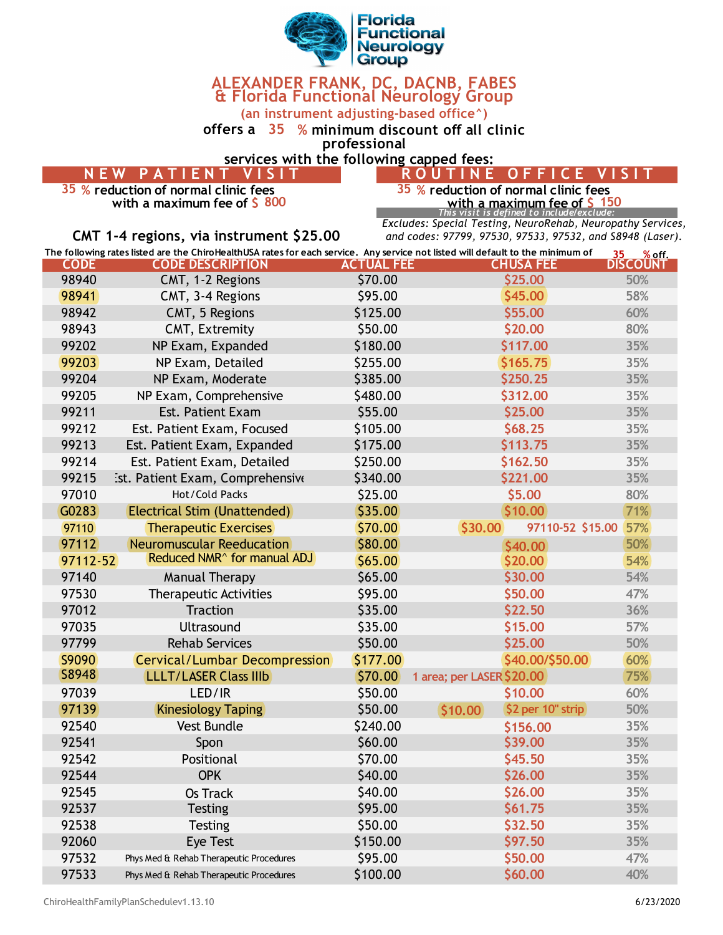

## **ALEXANDER FRANK, DC, DACNB, FABES & Florida Functional Neurology Group**

**(an instrument adjusting-based office^)**

**offers a 35 % minimum discount off all clinic** 

**professional**

**services with the following capped fees:**

| NEW PATIENT VISIT | ROUTINE OFFICE VIS |
|-------------------|--------------------|
| .                 |                    |

**with a maximum fee of \$ with a maximum fee of \$**

 **% reduction of normal clinic fees 35 % reduction of normal clinic fees 150 150 150 150 150 150** *150 150 150 150 150 150 150 150 150 150 150 150 150 150 150 150 150 150 150 150 150 150 150 150 150 150 150 150 150 150*

*Excludes: Special Testing, NeuroRehab, Neuropathy Services, and codes: 97799, 97530, 97533, 97532, and S8948 (Laser).*

|             | CMT 1-4 regions, via instrument \$25.00                                                                                         |                   | Extracts. Speerar resents, near onemab, near opacity service<br>and codes: 97799, 97530, 97533, 97532, and S8948 (Lase, |                          |
|-------------|---------------------------------------------------------------------------------------------------------------------------------|-------------------|-------------------------------------------------------------------------------------------------------------------------|--------------------------|
|             | The following rates listed are the ChiroHealthUSA rates for each service. Any service not listed will default to the minimum of |                   |                                                                                                                         | 35 <sub>1</sub><br>%off. |
| <b>CODE</b> | <b>CODE DESCRIPTION</b>                                                                                                         | <b>ACTUAL FEE</b> | <b>CHUSA FEE</b>                                                                                                        | <b>DISCOUNT</b>          |
| 98940       | CMT, 1-2 Regions                                                                                                                | \$70.00           | \$25.00                                                                                                                 | 50%                      |
| 98941       | CMT, 3-4 Regions                                                                                                                | \$95.00           | \$45.00                                                                                                                 | 58%                      |
| 98942       | CMT, 5 Regions                                                                                                                  | \$125.00          | \$55.00                                                                                                                 | 60%                      |
| 98943       | CMT, Extremity                                                                                                                  | \$50.00           | \$20.00                                                                                                                 | 80%                      |
| 99202       | NP Exam, Expanded                                                                                                               | \$180.00          | \$117.00                                                                                                                | 35%                      |
| 99203       | NP Exam, Detailed                                                                                                               | \$255.00          | \$165.75                                                                                                                | 35%                      |
| 99204       | NP Exam, Moderate                                                                                                               | \$385.00          | \$250.25                                                                                                                | 35%                      |
| 99205       | NP Exam, Comprehensive                                                                                                          | \$480.00          | \$312.00                                                                                                                | 35%                      |
| 99211       | <b>Est. Patient Exam</b>                                                                                                        | \$55.00           | \$25.00                                                                                                                 | 35%                      |
| 99212       | Est. Patient Exam, Focused                                                                                                      | \$105.00          | \$68.25                                                                                                                 | 35%                      |
| 99213       | Est. Patient Exam, Expanded                                                                                                     | \$175.00          | \$113.75                                                                                                                | 35%                      |
| 99214       | Est. Patient Exam, Detailed                                                                                                     | \$250.00          | \$162.50                                                                                                                | 35%                      |
| 99215       | ist. Patient Exam, Comprehensive                                                                                                | \$340.00          | \$221.00                                                                                                                | 35%                      |
| 97010       | Hot/Cold Packs                                                                                                                  | \$25.00           | \$5.00                                                                                                                  | 80%                      |
| G0283       | Electrical Stim (Unattended)                                                                                                    | \$35.00           | \$10.00                                                                                                                 | 71%                      |
| 97110       | <b>Therapeutic Exercises</b>                                                                                                    | \$70.00           | 97110-52 \$15.00<br>\$30.00                                                                                             | 57%                      |
| 97112       | <b>Neuromuscular Reeducation</b>                                                                                                | \$80.00           | \$40,00                                                                                                                 | 50%                      |
|             | Reduced NMR <sup>^</sup> for manual ADJ<br>97112-52                                                                             | \$65.00\$         | \$20.00                                                                                                                 | 54%                      |
| 97140       | <b>Manual Therapy</b>                                                                                                           | \$65.00           | \$30.00                                                                                                                 | 54%                      |
| 97530       | <b>Therapeutic Activities</b>                                                                                                   | \$95.00           | \$50.00                                                                                                                 | 47%                      |
| 97012       | <b>Traction</b>                                                                                                                 | \$35.00           | \$22.50                                                                                                                 | 36%                      |
| 97035       | Ultrasound                                                                                                                      | \$35.00           | \$15.00                                                                                                                 | 57%                      |
| 97799       | <b>Rehab Services</b>                                                                                                           | \$50.00           | \$25.00                                                                                                                 | 50%                      |
| S9090       | <b>Cervical/Lumbar Decompression</b>                                                                                            | \$177.00          | \$40.00/\$50.00                                                                                                         | 60%                      |
| S8948       | <b>LLLT/LASER Class IIIb</b>                                                                                                    | \$70.00           | 1 area; per LASER \$20.00                                                                                               | 75%                      |
| 97039       | LED/IR                                                                                                                          | \$50.00           | \$10.00                                                                                                                 | 60%                      |
| 97139       | <b>Kinesiology Taping</b>                                                                                                       | \$50.00           | \$2 per 10" strip<br>\$10.00                                                                                            | 50%                      |
| 92540       | <b>Vest Bundle</b>                                                                                                              | \$240.00          | \$156.00                                                                                                                | 35%                      |
| 92541       | Spon                                                                                                                            | \$60.00           | \$39.00                                                                                                                 | 35%                      |
| 92542       | Positional                                                                                                                      | \$70.00           | \$45.50                                                                                                                 | 35%                      |
| 92544       | <b>OPK</b>                                                                                                                      | \$40.00           | \$26.00                                                                                                                 | 35%                      |
| 92545       | <b>Os Track</b>                                                                                                                 | \$40.00           | \$26.00                                                                                                                 | 35%                      |
| 92537       | <b>Testing</b>                                                                                                                  | \$95.00           | \$61.75                                                                                                                 | 35%                      |

 Testing \$50.00 **\$32.50 35%** Eye Test \$150.00 **\$97.50 35%** Phys Med & Rehab Therapeutic Procedures \$95.00 **\$50.00 47%** Phys Med & Rehab Therapeutic Procedures \$100.00 **\$60.00 40%**